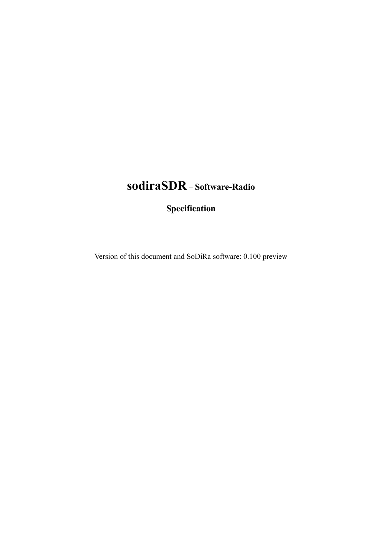# **sodiraSDR – Software-Radio**

**Specification**

Version of this document and SoDiRa software: 0.100 preview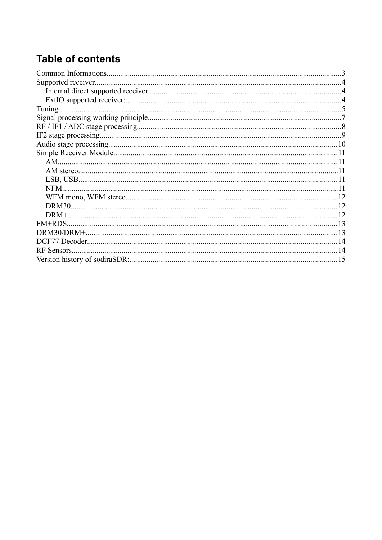# **Table of contents**

| Tuning      |  |
|-------------|--|
|             |  |
|             |  |
|             |  |
|             |  |
|             |  |
|             |  |
|             |  |
|             |  |
| NFM.        |  |
|             |  |
|             |  |
|             |  |
| FM+RDS.     |  |
|             |  |
|             |  |
| RF Sensors. |  |
|             |  |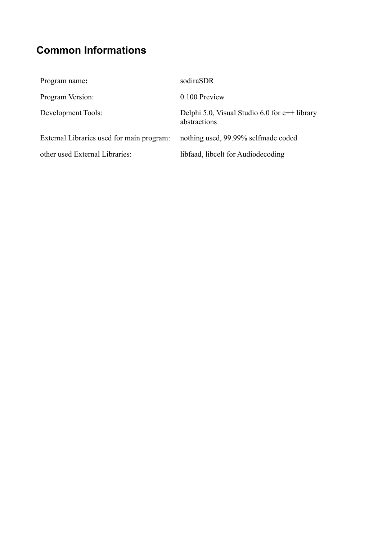# <span id="page-2-0"></span>**Common Informations**

| Program name:                             | sodiraSDR                                                       |
|-------------------------------------------|-----------------------------------------------------------------|
| Program Version:                          | 0.100 Preview                                                   |
| Development Tools:                        | Delphi 5.0, Visual Studio 6.0 for $c++$ library<br>abstractions |
| External Libraries used for main program: | nothing used, 99.99% selfmade coded                             |
| other used External Libraries:            | libfaad, libcelt for Audiodecoding                              |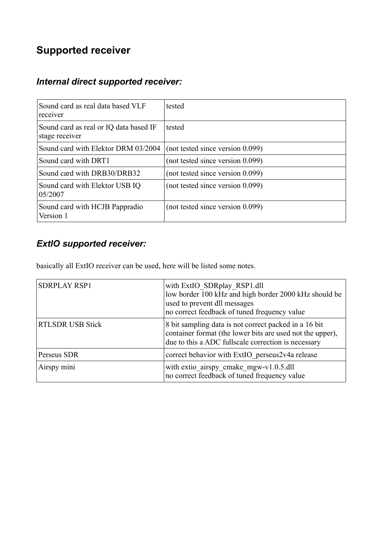## <span id="page-3-0"></span>**Supported receiver**

### *Internal direct supported receiver:*

| Sound card as real data based VLF<br>receiver            | tested                           |
|----------------------------------------------------------|----------------------------------|
| Sound card as real or IQ data based IF<br>stage receiver | tested                           |
| Sound card with Elektor DRM 03/2004                      | (not tested since version 0.099) |
| Sound card with DRT1                                     | (not tested since version 0.099) |
| Sound card with DRB30/DRB32                              | (not tested since version 0.099) |
| Sound card with Elektor USB IQ<br>05/2007                | (not tested since version 0.099) |
| Sound card with HCJB Pappradio<br>Version 1              | (not tested since version 0.099) |

### *ExtIO supported receiver:*

basically all ExtIO receiver can be used, here will be listed some notes.

| <b>SDRPLAY RSP1</b>     | with ExtIO SDRplay RSP1.dll<br>low border 100 kHz and high border 2000 kHz should be<br>used to prevent dll messages<br>no correct feedback of tuned frequency value      |
|-------------------------|---------------------------------------------------------------------------------------------------------------------------------------------------------------------------|
| <b>RTLSDR USB Stick</b> | 8 bit sampling data is not correct packed in a 16 bit<br>container format (the lower bits are used not the upper),<br>due to this a ADC fullscale correction is necessary |
| Perseus SDR             | correct behavior with ExtIO perseus2v4a release                                                                                                                           |
| Airspy mini             | with extio airspy cmake mgw-v1.0.5.dll<br>no correct feedback of tuned frequency value                                                                                    |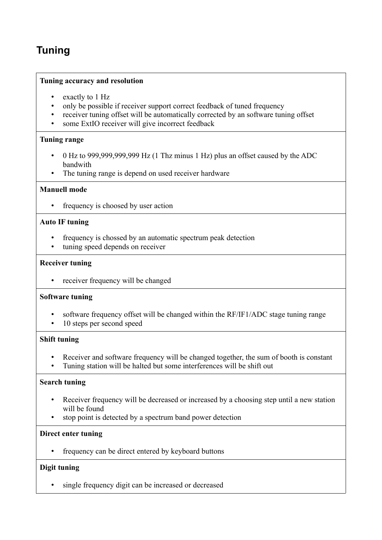## <span id="page-4-0"></span>**Tuning**

#### **Tuning accuracy and resolution**

- exactly to 1 Hz<br>• only be possible
- only be possible if receiver support correct feedback of tuned frequency
- receiver tuning offset will be automatically corrected by an software tuning offset<br>• some ExtIO receiver will give incorrect feedback
- some ExtIO receiver will give incorrect feedback

#### **Tuning range**

- 0 Hz to 999,999,999,999 Hz (1 Thz minus 1 Hz) plus an offset caused by the ADC bandwith
- The tuning range is depend on used receiver hardware

#### **Manuell mode**

• frequency is choosed by user action

#### **Auto IF tuning**

- frequency is chossed by an automatic spectrum peak detection
- tuning speed depends on receiver

#### **Receiver tuning**

• receiver frequency will be changed

#### **Software tuning**

- software frequency offset will be changed within the RF/IF1/ADC stage tuning range
- 10 steps per second speed

#### **Shift tuning**

- Receiver and software frequency will be changed together, the sum of booth is constant
- Tuning station will be halted but some interferences will be shift out

#### **Search tuning**

- Receiver frequency will be decreased or increased by a choosing step until a new station will be found
- stop point is detected by a spectrum band power detection

#### **Direct enter tuning**

• frequency can be direct entered by keyboard buttons

#### **Digit tuning**

• single frequency digit can be increased or decreased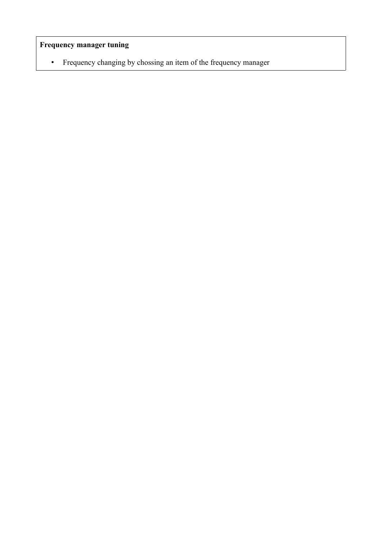### **Frequency manager tuning**

• Frequency changing by chossing an item of the frequency manager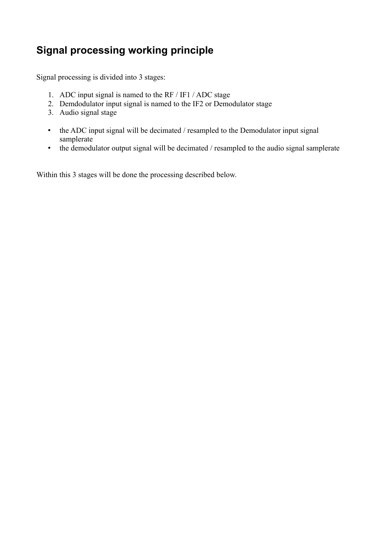## <span id="page-6-0"></span>**Signal processing working principle**

Signal processing is divided into 3 stages:

- 1. ADC input signal is named to the RF / IF1 / ADC stage
- 2. Demdodulator input signal is named to the IF2 or Demodulator stage
- 3. Audio signal stage
- the ADC input signal will be decimated / resampled to the Demodulator input signal samplerate
- the demodulator output signal will be decimated / resampled to the audio signal samplerate

Within this 3 stages will be done the processing described below.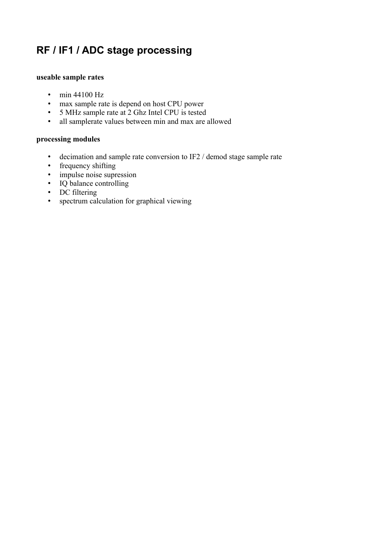## <span id="page-7-0"></span>**RF / IF1 / ADC stage processing**

#### **useable sample rates**

- min 44100 Hz
- max sample rate is depend on host CPU power
- 5 MHz sample rate at 2 Ghz Intel CPU is tested
- all samplerate values between min and max are allowed

#### **processing modules**

- decimation and sample rate conversion to IF2 / demod stage sample rate
- frequency shifting
- impulse noise supression
- IQ balance controlling
- DC filtering
- spectrum calculation for graphical viewing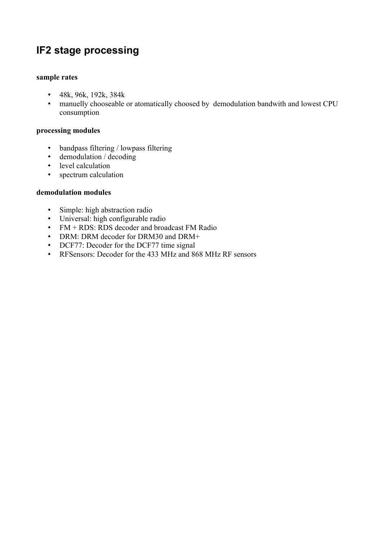## <span id="page-8-0"></span>**IF2 stage processing**

#### **sample rates**

- 48k, 96k, 192k, 384k
- manuelly chooseable or atomatically choosed by demodulation bandwith and lowest CPU consumption

#### **processing modules**

- bandpass filtering / lowpass filtering
- demodulation / decoding
- level calculation
- spectrum calculation

#### **demodulation modules**

- Simple: high abstraction radio
- Universal: high configurable radio
- FM + RDS: RDS decoder and broadcast FM Radio
- DRM: DRM decoder for DRM30 and DRM+
- DCF77: Decoder for the DCF77 time signal
- RFSensors: Decoder for the 433 MHz and 868 MHz RF sensors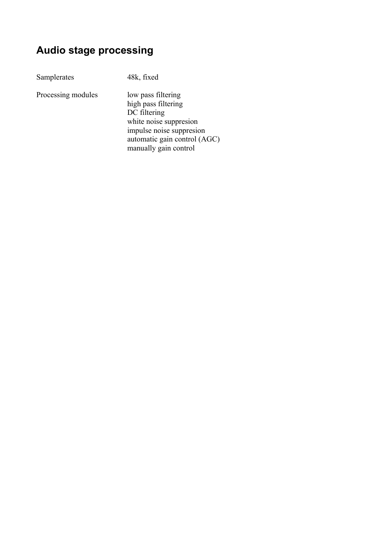## <span id="page-9-0"></span>**Audio stage processing**

Samplerates 48k, fixed

Processing modules low pass filtering

high pass filtering DC filtering white noise suppresion impulse noise suppresion automatic gain control (AGC) manually gain control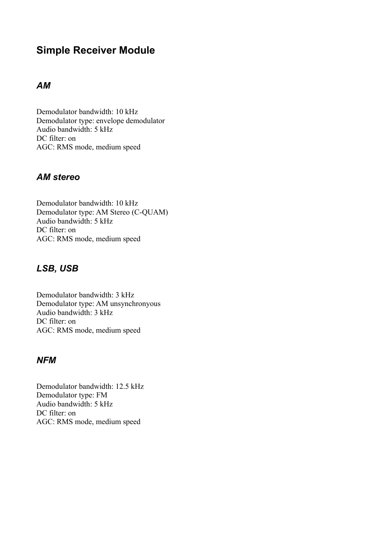## <span id="page-10-0"></span>**Simple Receiver Module**

### *AM*

Demodulator bandwidth: 10 kHz Demodulator type: envelope demodulator Audio bandwidth: 5 kHz DC filter: on AGC: RMS mode, medium speed

### *AM stereo*

Demodulator bandwidth: 10 kHz Demodulator type: AM Stereo (C-QUAM) Audio bandwidth: 5 kHz DC filter: on AGC: RMS mode, medium speed

### *LSB, USB*

Demodulator bandwidth: 3 kHz Demodulator type: AM unsynchronyous Audio bandwidth: 3 kHz DC filter: on AGC: RMS mode, medium speed

### *NFM*

Demodulator bandwidth: 12.5 kHz Demodulator type: FM Audio bandwidth: 5 kHz DC filter: on AGC: RMS mode, medium speed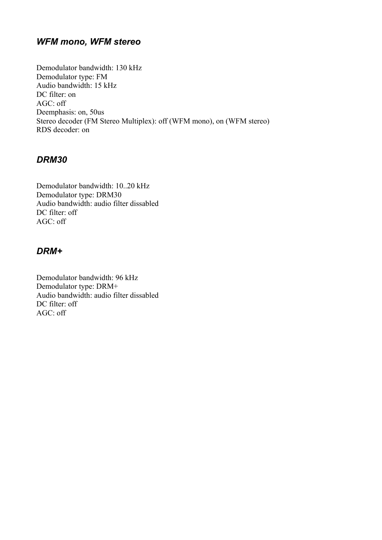### *WFM mono, WFM stereo*

Demodulator bandwidth: 130 kHz Demodulator type: FM Audio bandwidth: 15 kHz DC filter: on AGC: off Deemphasis: on, 50us Stereo decoder (FM Stereo Multiplex): off (WFM mono), on (WFM stereo) RDS decoder: on

### *DRM30*

Demodulator bandwidth: 10..20 kHz Demodulator type: DRM30 Audio bandwidth: audio filter dissabled DC filter: off AGC: off

### *DRM+*

Demodulator bandwidth: 96 kHz Demodulator type: DRM+ Audio bandwidth: audio filter dissabled DC filter: off AGC: off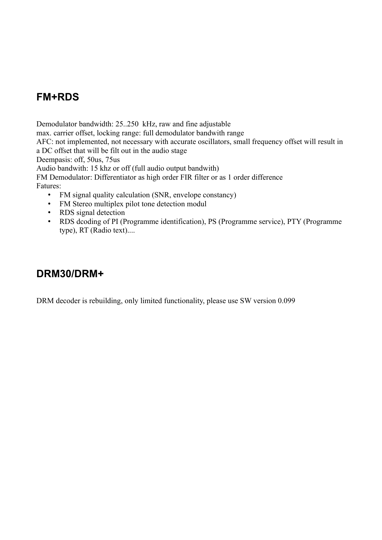## <span id="page-12-1"></span>**FM+RDS**

Demodulator bandwidth: 25..250 kHz, raw and fine adjustable max. carrier offset, locking range: full demodulator bandwith range AFC: not implemented, not necessary with accurate oscillators, small frequency offset will result in a DC offset that will be filt out in the audio stage Deempasis: off, 50us, 75us Audio bandwith: 15 khz or off (full audio output bandwith) FM Demodulator: Differentiator as high order FIR filter or as 1 order difference Fatures: • FM signal quality calculation (SNR, envelope constancy)

- FM Stereo multiplex pilot tone detection modul
- RDS signal detection
- RDS dcoding of PI (Programme identification), PS (Programme service), PTY (Programme type), RT (Radio text)....

### <span id="page-12-0"></span>**DRM30/DRM+**

DRM decoder is rebuilding, only limited functionality, please use SW version 0.099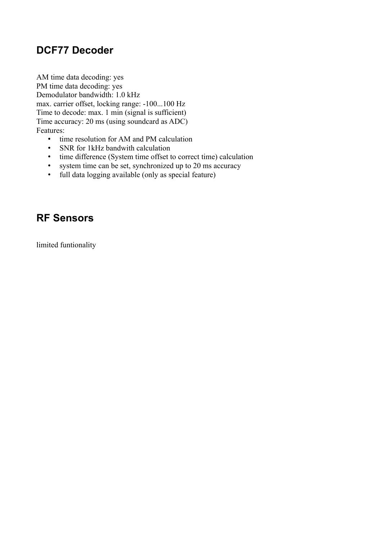## <span id="page-13-1"></span>**DCF77 Decoder**

AM time data decoding: yes PM time data decoding: yes Demodulator bandwidth: 1.0 kHz max. carrier offset, locking range: -100...100 Hz Time to decode: max. 1 min (signal is sufficient) Time accuracy: 20 ms (using soundcard as ADC) Features:

- time resolution for AM and PM calculation
- SNR for 1kHz bandwith calculation
- time difference (System time offset to correct time) calculation
- system time can be set, synchronized up to 20 ms accuracy
- full data logging available (only as special feature)

### <span id="page-13-0"></span>**RF Sensors**

limited funtionality